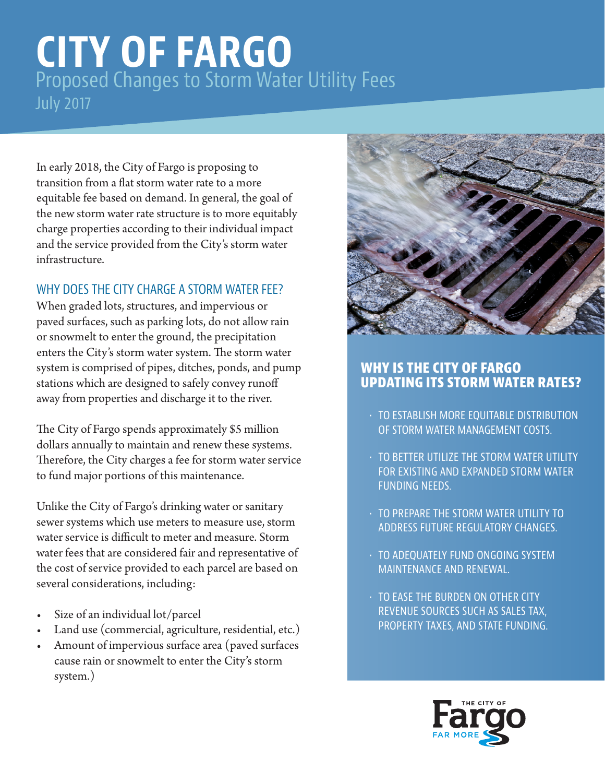# **CITY OF FARGO** Proposed Changes to Storm Water Utility Fees July 2017

In early 2018, the City of Fargo is proposing to transition from a flat storm water rate to a more equitable fee based on demand. In general, the goal of the new storm water rate structure is to more equitably charge properties according to their individual impact and the service provided from the City's storm water infrastructure.

## WHY DOES THE CITY CHARGE A STORM WATER FEE?

When graded lots, structures, and impervious or paved surfaces, such as parking lots, do not allow rain or snowmelt to enter the ground, the precipitation enters the City's storm water system. The storm water system is comprised of pipes, ditches, ponds, and pump stations which are designed to safely convey runoff away from properties and discharge it to the river.

The City of Fargo spends approximately \$5 million dollars annually to maintain and renew these systems. Therefore, the City charges a fee for storm water service to fund major portions of this maintenance.

Unlike the City of Fargo's drinking water or sanitary sewer systems which use meters to measure use, storm water service is difficult to meter and measure. Storm water fees that are considered fair and representative of the cost of service provided to each parcel are based on several considerations, including:

- Size of an individual lot/parcel
- Land use (commercial, agriculture, residential, etc.)
- Amount of impervious surface area (paved surfaces cause rain or snowmelt to enter the City's storm system.)



## **WHY IS THE CITY OF FARGO UPDATING ITS STORM WATER RATES?**

- TO ESTABLISH MORE EQUITABLE DISTRIBUTION OF STORM WATER MANAGEMENT COSTS.
- TO BETTER UTILIZE THE STORM WATER UTILITY FOR EXISTING AND EXPANDED STORM WATER FUNDING NEEDS.
- TO PREPARE THE STORM WATER UTILITY TO ADDRESS FUTURE REGULATORY CHANGES.
- TO ADEQUATELY FUND ONGOING SYSTEM MAINTENANCE AND RENEWAL.
- TO EASE THE BURDEN ON OTHER CITY REVENUE SOURCES SUCH AS SALES TAX, PROPERTY TAXES, AND STATE FUNDING.